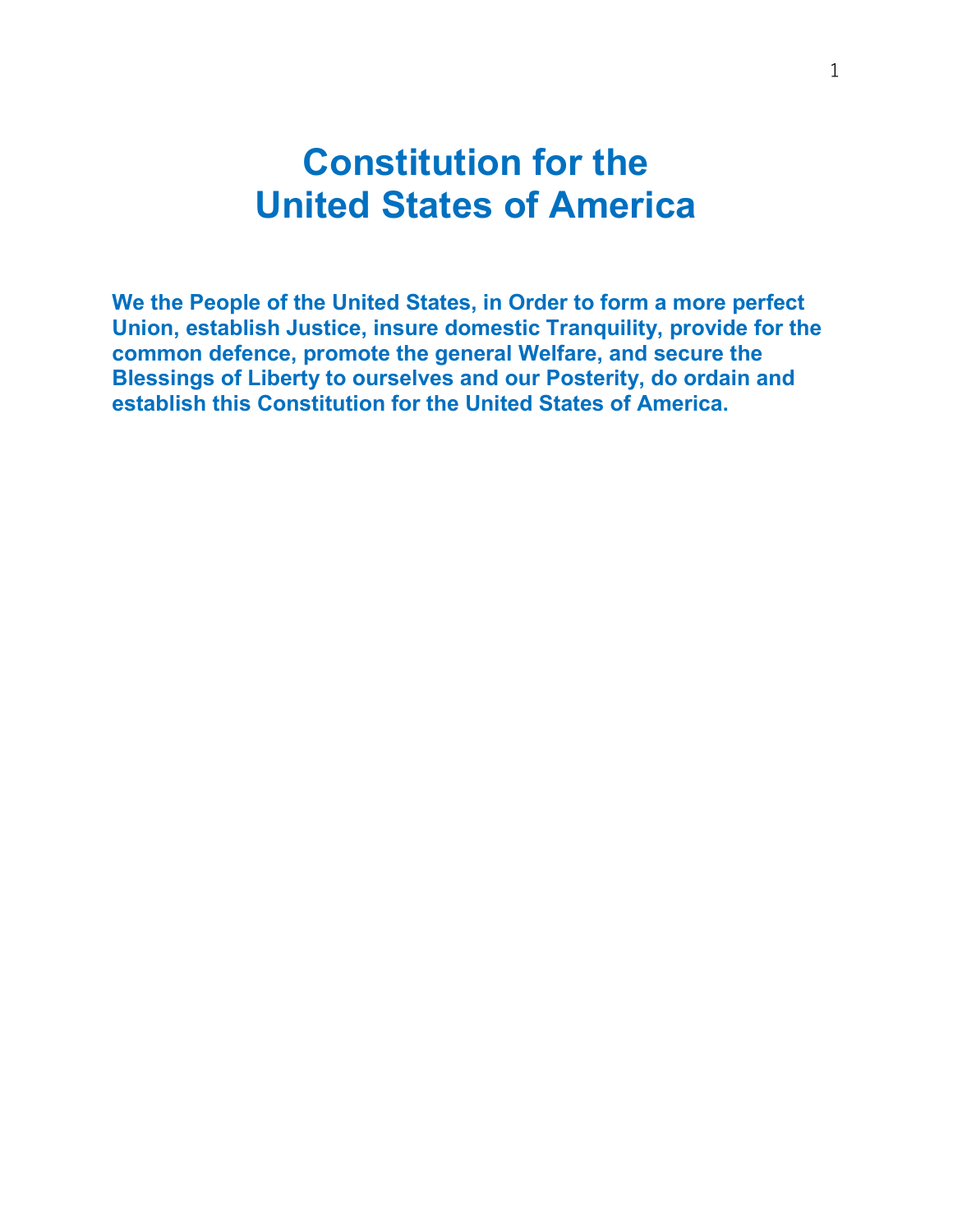# Constitution for the United States of America

We the People of the United States, in Order to form a more perfect Union, establish Justice, insure domestic Tranquility, provide for the common defence, promote the general Welfare, and secure the Blessings of Liberty to ourselves and our Posterity, do ordain and establish this Constitution for the United States of America.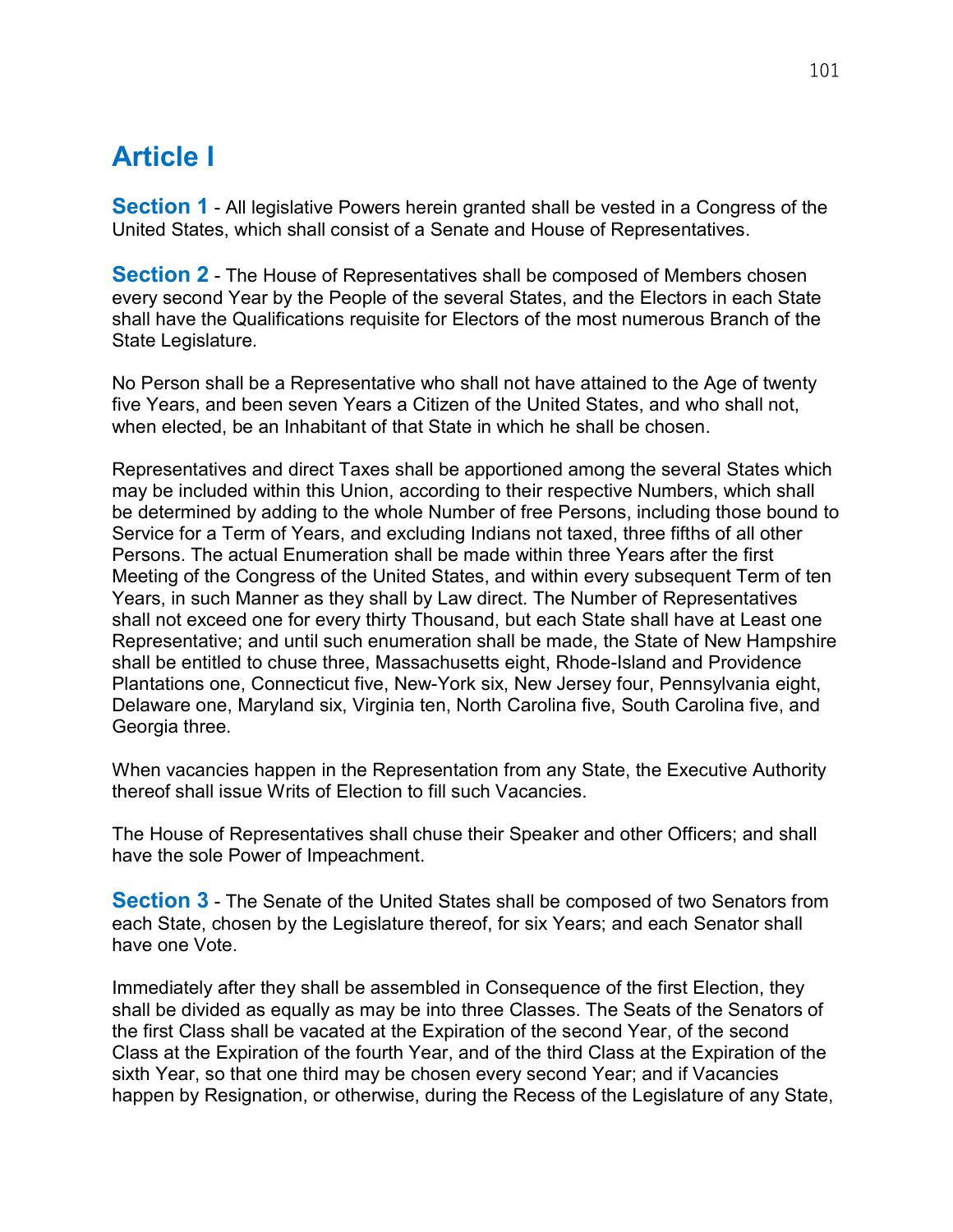# Article I

**Section 1** - All legislative Powers herein granted shall be vested in a Congress of the United States, which shall consist of a Senate and House of Representatives.

**Section 2** - The House of Representatives shall be composed of Members chosen every second Year by the People of the several States, and the Electors in each State shall have the Qualifications requisite for Electors of the most numerous Branch of the State Legislature.

No Person shall be a Representative who shall not have attained to the Age of twenty five Years, and been seven Years a Citizen of the United States, and who shall not, when elected, be an Inhabitant of that State in which he shall be chosen.

Representatives and direct Taxes shall be apportioned among the several States which may be included within this Union, according to their respective Numbers, which shall be determined by adding to the whole Number of free Persons, including those bound to Service for a Term of Years, and excluding Indians not taxed, three fifths of all other Persons. The actual Enumeration shall be made within three Years after the first Meeting of the Congress of the United States, and within every subsequent Term of ten Years, in such Manner as they shall by Law direct. The Number of Representatives shall not exceed one for every thirty Thousand, but each State shall have at Least one Representative; and until such enumeration shall be made, the State of New Hampshire shall be entitled to chuse three, Massachusetts eight, Rhode-Island and Providence Plantations one, Connecticut five, New-York six, New Jersey four, Pennsylvania eight, Delaware one, Maryland six, Virginia ten, North Carolina five, South Carolina five, and Georgia three.

When vacancies happen in the Representation from any State, the Executive Authority thereof shall issue Writs of Election to fill such Vacancies.

The House of Representatives shall chuse their Speaker and other Officers; and shall have the sole Power of Impeachment.

**Section 3** - The Senate of the United States shall be composed of two Senators from each State, chosen by the Legislature thereof, for six Years; and each Senator shall have one Vote.

Immediately after they shall be assembled in Consequence of the first Election, they shall be divided as equally as may be into three Classes. The Seats of the Senators of the first Class shall be vacated at the Expiration of the second Year, of the second Class at the Expiration of the fourth Year, and of the third Class at the Expiration of the sixth Year, so that one third may be chosen every second Year; and if Vacancies happen by Resignation, or otherwise, during the Recess of the Legislature of any State,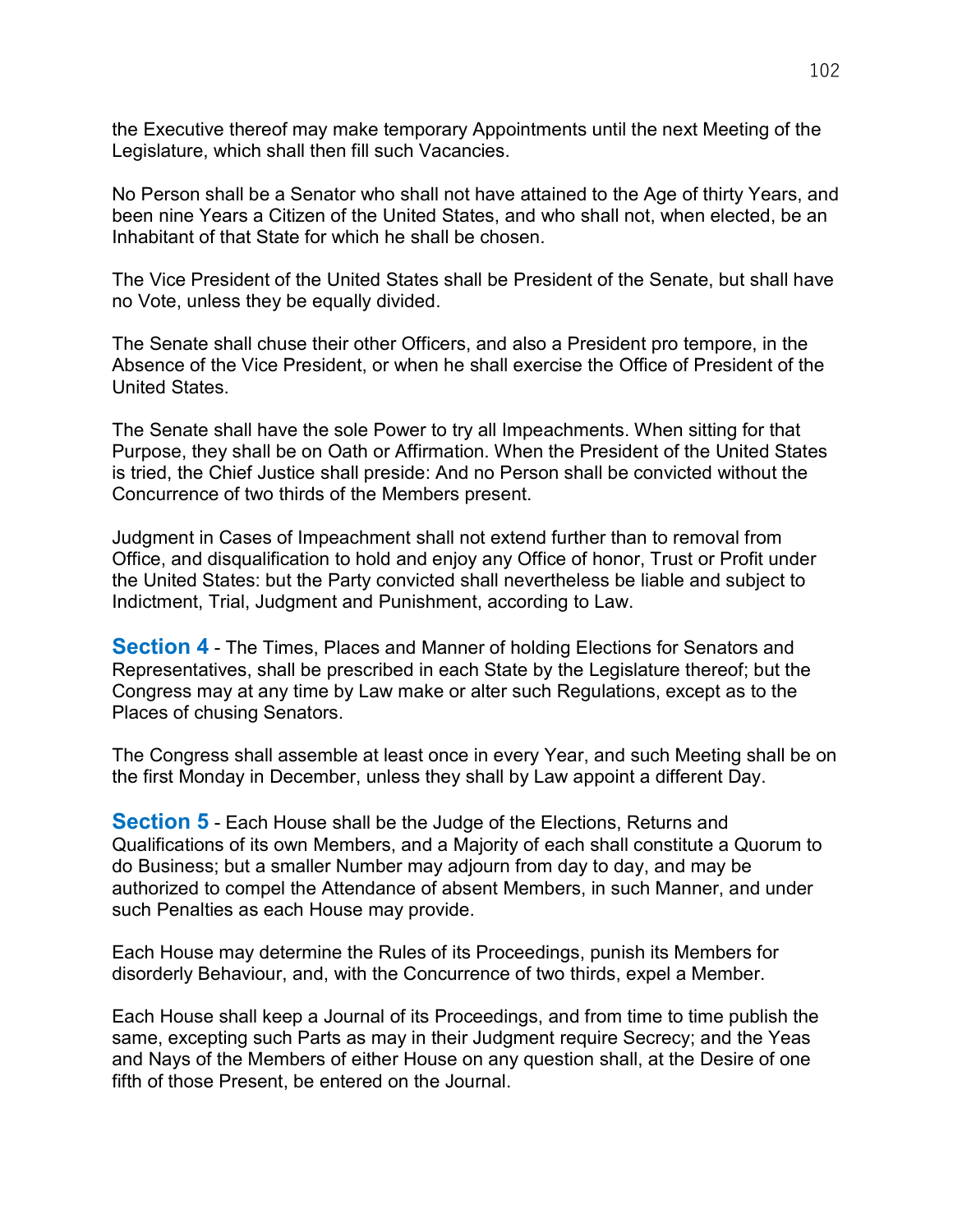the Executive thereof may make temporary Appointments until the next Meeting of the Legislature, which shall then fill such Vacancies.

No Person shall be a Senator who shall not have attained to the Age of thirty Years, and been nine Years a Citizen of the United States, and who shall not, when elected, be an Inhabitant of that State for which he shall be chosen.

The Vice President of the United States shall be President of the Senate, but shall have no Vote, unless they be equally divided.

The Senate shall chuse their other Officers, and also a President pro tempore, in the Absence of the Vice President, or when he shall exercise the Office of President of the United States.

The Senate shall have the sole Power to try all Impeachments. When sitting for that Purpose, they shall be on Oath or Affirmation. When the President of the United States is tried, the Chief Justice shall preside: And no Person shall be convicted without the Concurrence of two thirds of the Members present.

Judgment in Cases of Impeachment shall not extend further than to removal from Office, and disqualification to hold and enjoy any Office of honor, Trust or Profit under the United States: but the Party convicted shall nevertheless be liable and subject to Indictment, Trial, Judgment and Punishment, according to Law.

**Section 4** - The Times, Places and Manner of holding Elections for Senators and Representatives, shall be prescribed in each State by the Legislature thereof; but the Congress may at any time by Law make or alter such Regulations, except as to the Places of chusing Senators.

The Congress shall assemble at least once in every Year, and such Meeting shall be on the first Monday in December, unless they shall by Law appoint a different Day.

**Section 5** - Each House shall be the Judge of the Elections, Returns and Qualifications of its own Members, and a Majority of each shall constitute a Quorum to do Business; but a smaller Number may adjourn from day to day, and may be authorized to compel the Attendance of absent Members, in such Manner, and under such Penalties as each House may provide.

Each House may determine the Rules of its Proceedings, punish its Members for disorderly Behaviour, and, with the Concurrence of two thirds, expel a Member.

Each House shall keep a Journal of its Proceedings, and from time to time publish the same, excepting such Parts as may in their Judgment require Secrecy; and the Yeas and Nays of the Members of either House on any question shall, at the Desire of one fifth of those Present, be entered on the Journal.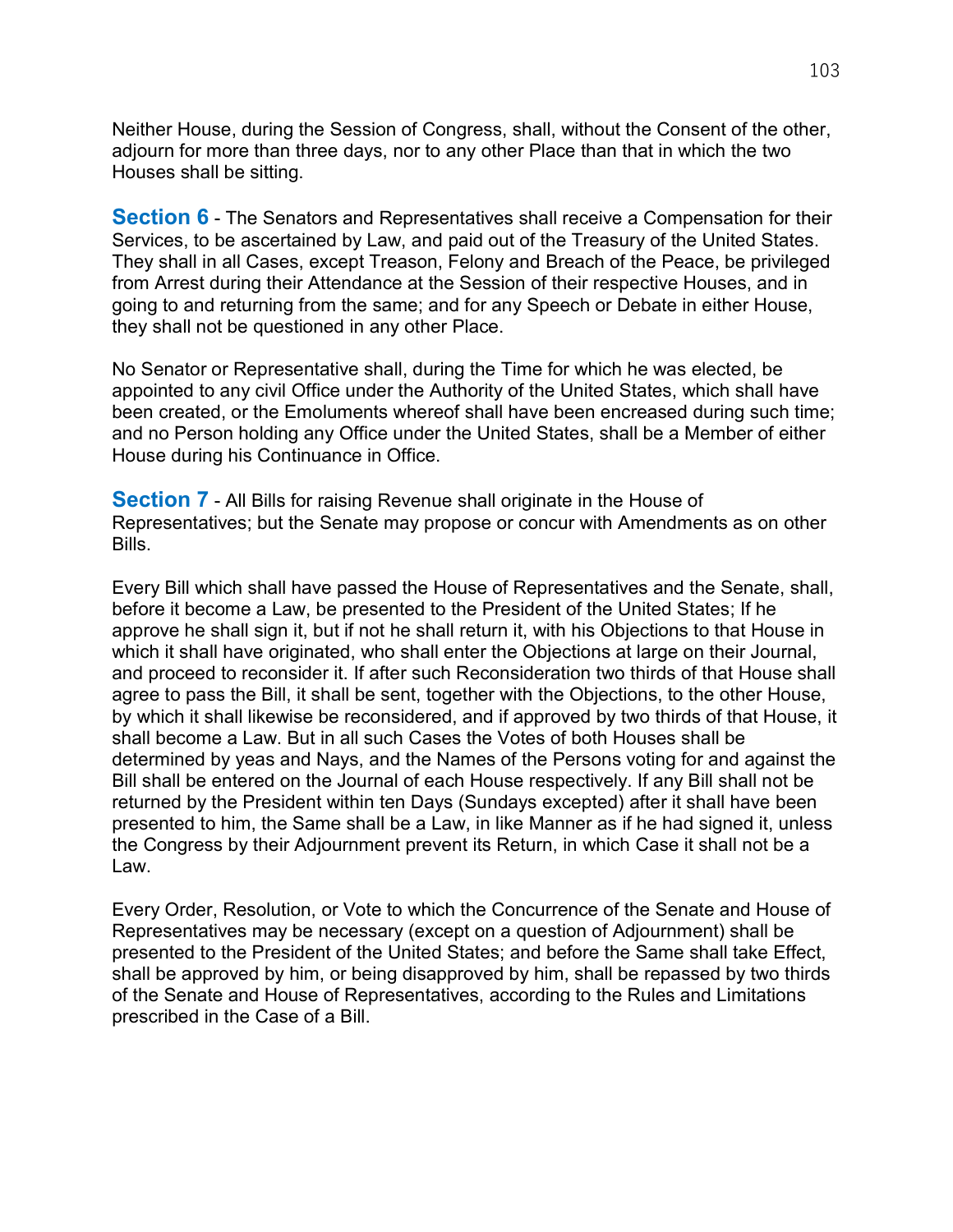Neither House, during the Session of Congress, shall, without the Consent of the other, adjourn for more than three days, nor to any other Place than that in which the two Houses shall be sitting.

**Section 6** - The Senators and Representatives shall receive a Compensation for their Services, to be ascertained by Law, and paid out of the Treasury of the United States. They shall in all Cases, except Treason, Felony and Breach of the Peace, be privileged from Arrest during their Attendance at the Session of their respective Houses, and in going to and returning from the same; and for any Speech or Debate in either House, they shall not be questioned in any other Place.

No Senator or Representative shall, during the Time for which he was elected, be appointed to any civil Office under the Authority of the United States, which shall have been created, or the Emoluments whereof shall have been encreased during such time; and no Person holding any Office under the United States, shall be a Member of either House during his Continuance in Office.

**Section 7** - All Bills for raising Revenue shall originate in the House of Representatives; but the Senate may propose or concur with Amendments as on other Bills.

Every Bill which shall have passed the House of Representatives and the Senate, shall, before it become a Law, be presented to the President of the United States; If he approve he shall sign it, but if not he shall return it, with his Objections to that House in which it shall have originated, who shall enter the Objections at large on their Journal, and proceed to reconsider it. If after such Reconsideration two thirds of that House shall agree to pass the Bill, it shall be sent, together with the Objections, to the other House, by which it shall likewise be reconsidered, and if approved by two thirds of that House, it shall become a Law. But in all such Cases the Votes of both Houses shall be determined by yeas and Nays, and the Names of the Persons voting for and against the Bill shall be entered on the Journal of each House respectively. If any Bill shall not be returned by the President within ten Days (Sundays excepted) after it shall have been presented to him, the Same shall be a Law, in like Manner as if he had signed it, unless the Congress by their Adjournment prevent its Return, in which Case it shall not be a Law.

Every Order, Resolution, or Vote to which the Concurrence of the Senate and House of Representatives may be necessary (except on a question of Adjournment) shall be presented to the President of the United States; and before the Same shall take Effect, shall be approved by him, or being disapproved by him, shall be repassed by two thirds of the Senate and House of Representatives, according to the Rules and Limitations prescribed in the Case of a Bill.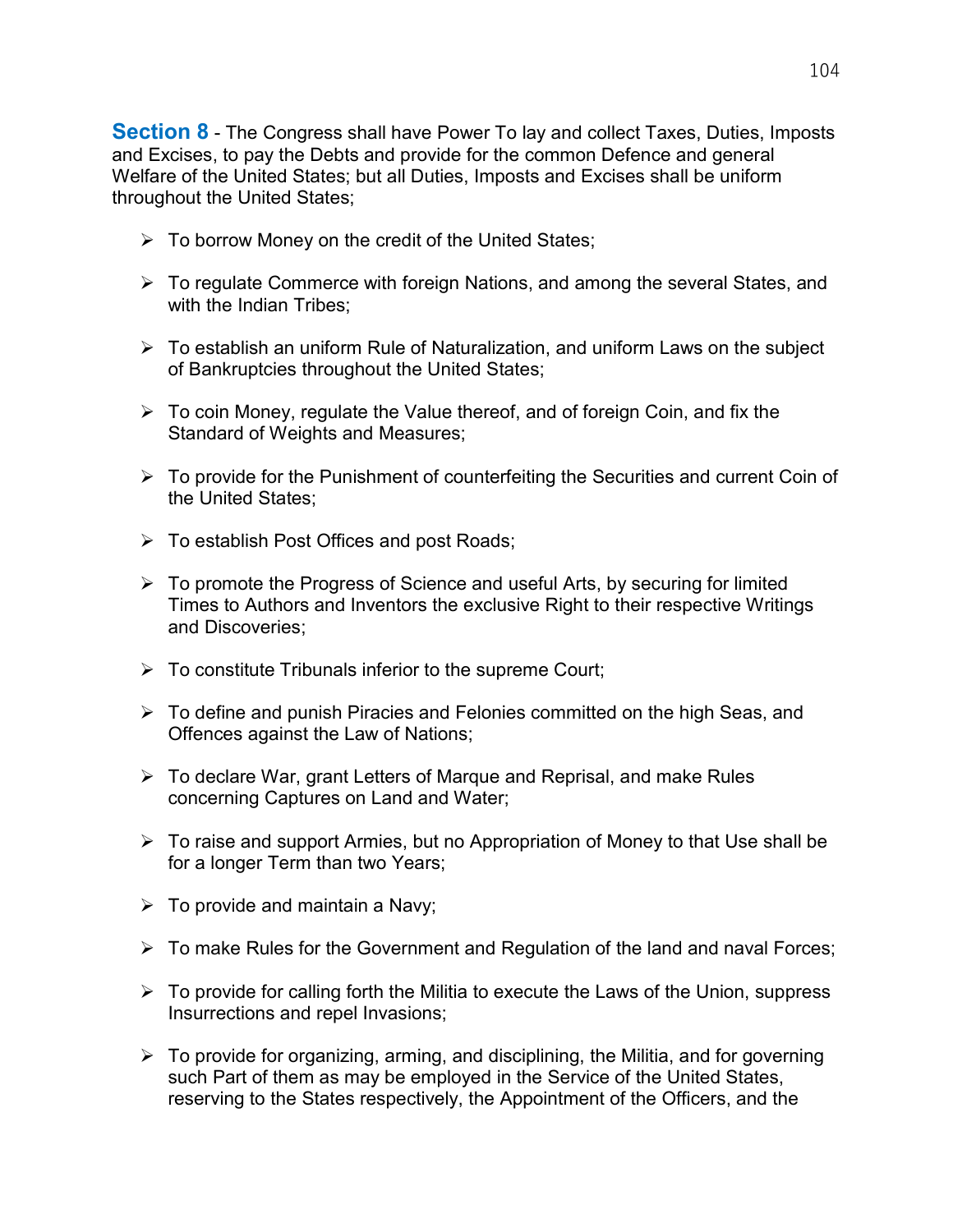**Section 8** - The Congress shall have Power To lay and collect Taxes, Duties, Imposts and Excises, to pay the Debts and provide for the common Defence and general Welfare of the United States; but all Duties, Imposts and Excises shall be uniform throughout the United States;

- $\triangleright$  To borrow Money on the credit of the United States;
- $\triangleright$  To regulate Commerce with foreign Nations, and among the several States, and with the Indian Tribes:
- $\triangleright$  To establish an uniform Rule of Naturalization, and uniform Laws on the subject of Bankruptcies throughout the United States;
- $\triangleright$  To coin Money, regulate the Value thereof, and of foreign Coin, and fix the Standard of Weights and Measures;
- $\triangleright$  To provide for the Punishment of counterfeiting the Securities and current Coin of the United States;
- $\triangleright$  To establish Post Offices and post Roads;
- $\triangleright$  To promote the Progress of Science and useful Arts, by securing for limited Times to Authors and Inventors the exclusive Right to their respective Writings and Discoveries;
- $\triangleright$  To constitute Tribunals inferior to the supreme Court;
- To define and punish Piracies and Felonies committed on the high Seas, and Offences against the Law of Nations;
- $\triangleright$  To declare War, grant Letters of Marque and Reprisal, and make Rules concerning Captures on Land and Water;
- $\triangleright$  To raise and support Armies, but no Appropriation of Money to that Use shall be for a longer Term than two Years;
- $\triangleright$  To provide and maintain a Navy;
- To make Rules for the Government and Regulation of the land and naval Forces;
- $\triangleright$  To provide for calling forth the Militia to execute the Laws of the Union, suppress Insurrections and repel Invasions;
- $\triangleright$  To provide for organizing, arming, and disciplining, the Militia, and for governing such Part of them as may be employed in the Service of the United States, reserving to the States respectively, the Appointment of the Officers, and the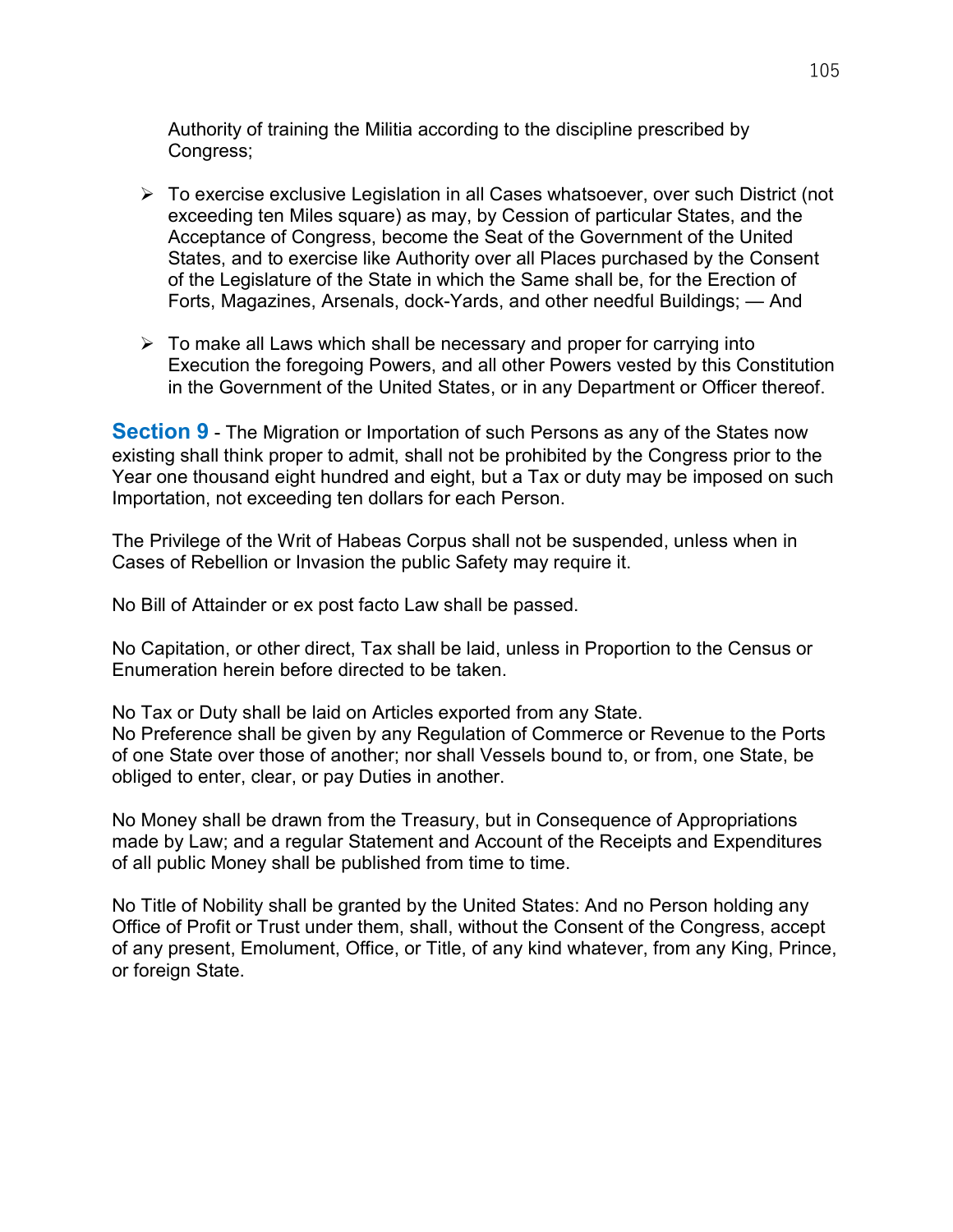Authority of training the Militia according to the discipline prescribed by Congress;

- To exercise exclusive Legislation in all Cases whatsoever, over such District (not exceeding ten Miles square) as may, by Cession of particular States, and the Acceptance of Congress, become the Seat of the Government of the United States, and to exercise like Authority over all Places purchased by the Consent of the Legislature of the State in which the Same shall be, for the Erection of Forts, Magazines, Arsenals, dock-Yards, and other needful Buildings; — And
- $\triangleright$  To make all Laws which shall be necessary and proper for carrying into Execution the foregoing Powers, and all other Powers vested by this Constitution in the Government of the United States, or in any Department or Officer thereof.

**Section 9** - The Migration or Importation of such Persons as any of the States now existing shall think proper to admit, shall not be prohibited by the Congress prior to the Year one thousand eight hundred and eight, but a Tax or duty may be imposed on such Importation, not exceeding ten dollars for each Person.

The Privilege of the Writ of Habeas Corpus shall not be suspended, unless when in Cases of Rebellion or Invasion the public Safety may require it.

No Bill of Attainder or ex post facto Law shall be passed.

No Capitation, or other direct, Tax shall be laid, unless in Proportion to the Census or Enumeration herein before directed to be taken.

No Tax or Duty shall be laid on Articles exported from any State. No Preference shall be given by any Regulation of Commerce or Revenue to the Ports of one State over those of another; nor shall Vessels bound to, or from, one State, be obliged to enter, clear, or pay Duties in another.

No Money shall be drawn from the Treasury, but in Consequence of Appropriations made by Law; and a regular Statement and Account of the Receipts and Expenditures of all public Money shall be published from time to time.

No Title of Nobility shall be granted by the United States: And no Person holding any Office of Profit or Trust under them, shall, without the Consent of the Congress, accept of any present, Emolument, Office, or Title, of any kind whatever, from any King, Prince, or foreign State.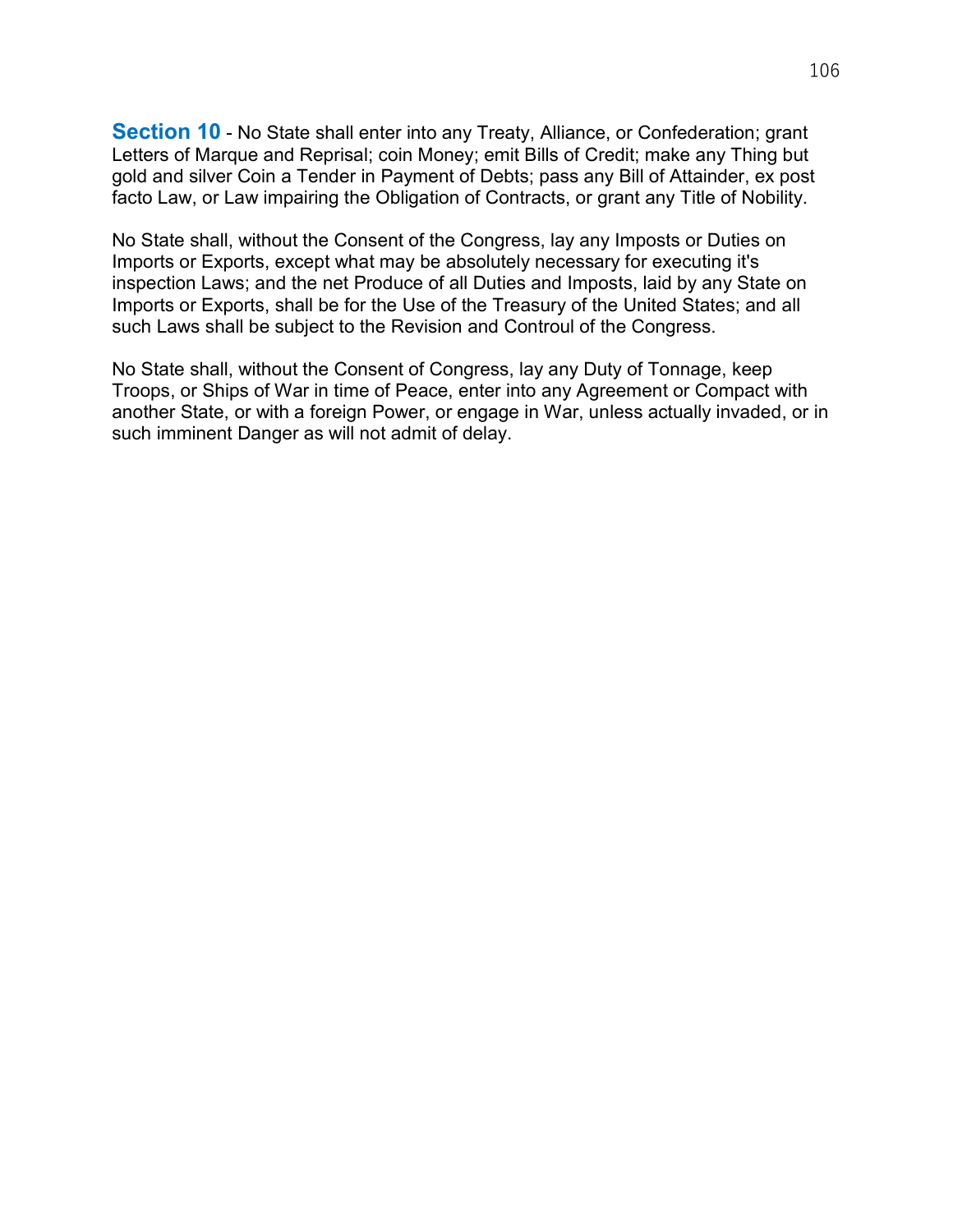**Section 10** - No State shall enter into any Treaty, Alliance, or Confederation; grant Letters of Marque and Reprisal; coin Money; emit Bills of Credit; make any Thing but gold and silver Coin a Tender in Payment of Debts; pass any Bill of Attainder, ex post facto Law, or Law impairing the Obligation of Contracts, or grant any Title of Nobility.

No State shall, without the Consent of the Congress, lay any Imposts or Duties on Imports or Exports, except what may be absolutely necessary for executing it's inspection Laws; and the net Produce of all Duties and Imposts, laid by any State on Imports or Exports, shall be for the Use of the Treasury of the United States; and all such Laws shall be subject to the Revision and Controul of the Congress.

No State shall, without the Consent of Congress, lay any Duty of Tonnage, keep Troops, or Ships of War in time of Peace, enter into any Agreement or Compact with another State, or with a foreign Power, or engage in War, unless actually invaded, or in such imminent Danger as will not admit of delay.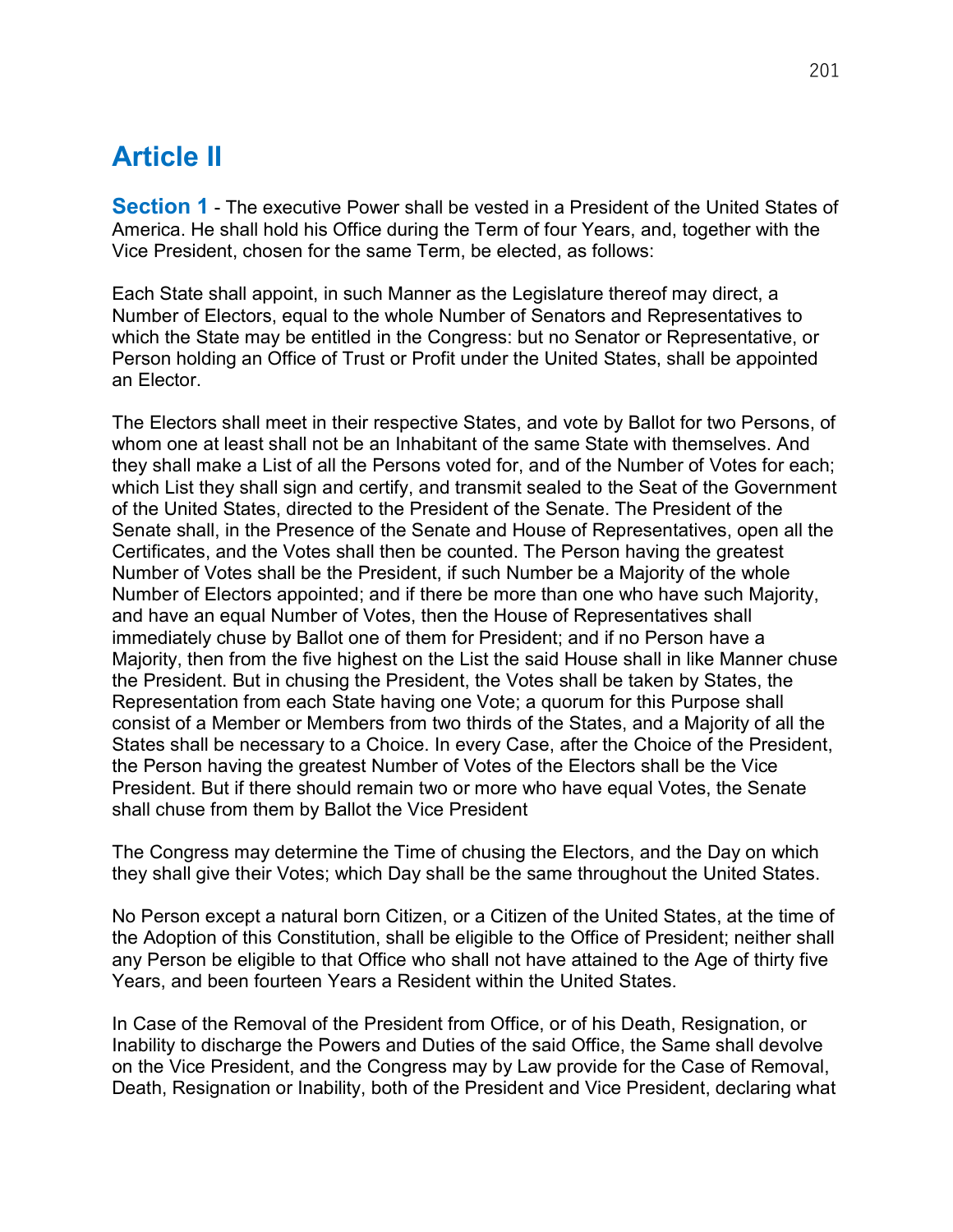#### Article II

**Section 1** - The executive Power shall be vested in a President of the United States of America. He shall hold his Office during the Term of four Years, and, together with the Vice President, chosen for the same Term, be elected, as follows:

Each State shall appoint, in such Manner as the Legislature thereof may direct, a Number of Electors, equal to the whole Number of Senators and Representatives to which the State may be entitled in the Congress: but no Senator or Representative, or Person holding an Office of Trust or Profit under the United States, shall be appointed an Elector.

The Electors shall meet in their respective States, and vote by Ballot for two Persons, of whom one at least shall not be an Inhabitant of the same State with themselves. And they shall make a List of all the Persons voted for, and of the Number of Votes for each; which List they shall sign and certify, and transmit sealed to the Seat of the Government of the United States, directed to the President of the Senate. The President of the Senate shall, in the Presence of the Senate and House of Representatives, open all the Certificates, and the Votes shall then be counted. The Person having the greatest Number of Votes shall be the President, if such Number be a Majority of the whole Number of Electors appointed; and if there be more than one who have such Majority, and have an equal Number of Votes, then the House of Representatives shall immediately chuse by Ballot one of them for President; and if no Person have a Majority, then from the five highest on the List the said House shall in like Manner chuse the President. But in chusing the President, the Votes shall be taken by States, the Representation from each State having one Vote; a quorum for this Purpose shall consist of a Member or Members from two thirds of the States, and a Majority of all the States shall be necessary to a Choice. In every Case, after the Choice of the President, the Person having the greatest Number of Votes of the Electors shall be the Vice President. But if there should remain two or more who have equal Votes, the Senate shall chuse from them by Ballot the Vice President

The Congress may determine the Time of chusing the Electors, and the Day on which they shall give their Votes; which Day shall be the same throughout the United States.

No Person except a natural born Citizen, or a Citizen of the United States, at the time of the Adoption of this Constitution, shall be eligible to the Office of President; neither shall any Person be eligible to that Office who shall not have attained to the Age of thirty five Years, and been fourteen Years a Resident within the United States.

In Case of the Removal of the President from Office, or of his Death, Resignation, or Inability to discharge the Powers and Duties of the said Office, the Same shall devolve on the Vice President, and the Congress may by Law provide for the Case of Removal, Death, Resignation or Inability, both of the President and Vice President, declaring what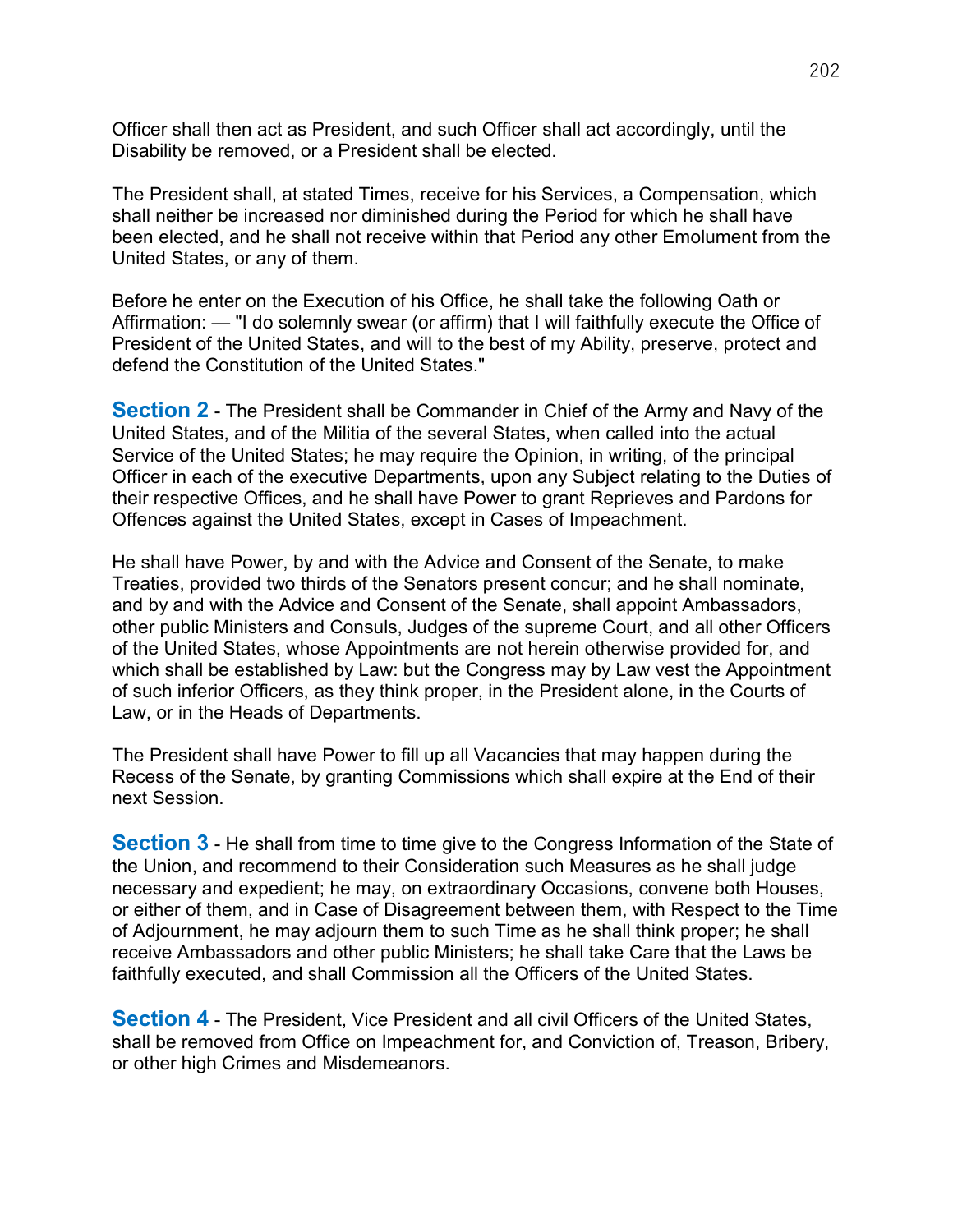Officer shall then act as President, and such Officer shall act accordingly, until the Disability be removed, or a President shall be elected.

The President shall, at stated Times, receive for his Services, a Compensation, which shall neither be increased nor diminished during the Period for which he shall have been elected, and he shall not receive within that Period any other Emolument from the United States, or any of them.

Before he enter on the Execution of his Office, he shall take the following Oath or Affirmation: — "I do solemnly swear (or affirm) that I will faithfully execute the Office of President of the United States, and will to the best of my Ability, preserve, protect and defend the Constitution of the United States."

**Section 2** - The President shall be Commander in Chief of the Army and Navy of the United States, and of the Militia of the several States, when called into the actual Service of the United States; he may require the Opinion, in writing, of the principal Officer in each of the executive Departments, upon any Subject relating to the Duties of their respective Offices, and he shall have Power to grant Reprieves and Pardons for Offences against the United States, except in Cases of Impeachment.

He shall have Power, by and with the Advice and Consent of the Senate, to make Treaties, provided two thirds of the Senators present concur; and he shall nominate, and by and with the Advice and Consent of the Senate, shall appoint Ambassadors, other public Ministers and Consuls, Judges of the supreme Court, and all other Officers of the United States, whose Appointments are not herein otherwise provided for, and which shall be established by Law: but the Congress may by Law vest the Appointment of such inferior Officers, as they think proper, in the President alone, in the Courts of Law, or in the Heads of Departments.

The President shall have Power to fill up all Vacancies that may happen during the Recess of the Senate, by granting Commissions which shall expire at the End of their next Session.

**Section 3** - He shall from time to time give to the Congress Information of the State of the Union, and recommend to their Consideration such Measures as he shall judge necessary and expedient; he may, on extraordinary Occasions, convene both Houses, or either of them, and in Case of Disagreement between them, with Respect to the Time of Adjournment, he may adjourn them to such Time as he shall think proper; he shall receive Ambassadors and other public Ministers; he shall take Care that the Laws be faithfully executed, and shall Commission all the Officers of the United States.

**Section 4 - The President, Vice President and all civil Officers of the United States,** shall be removed from Office on Impeachment for, and Conviction of, Treason, Bribery, or other high Crimes and Misdemeanors.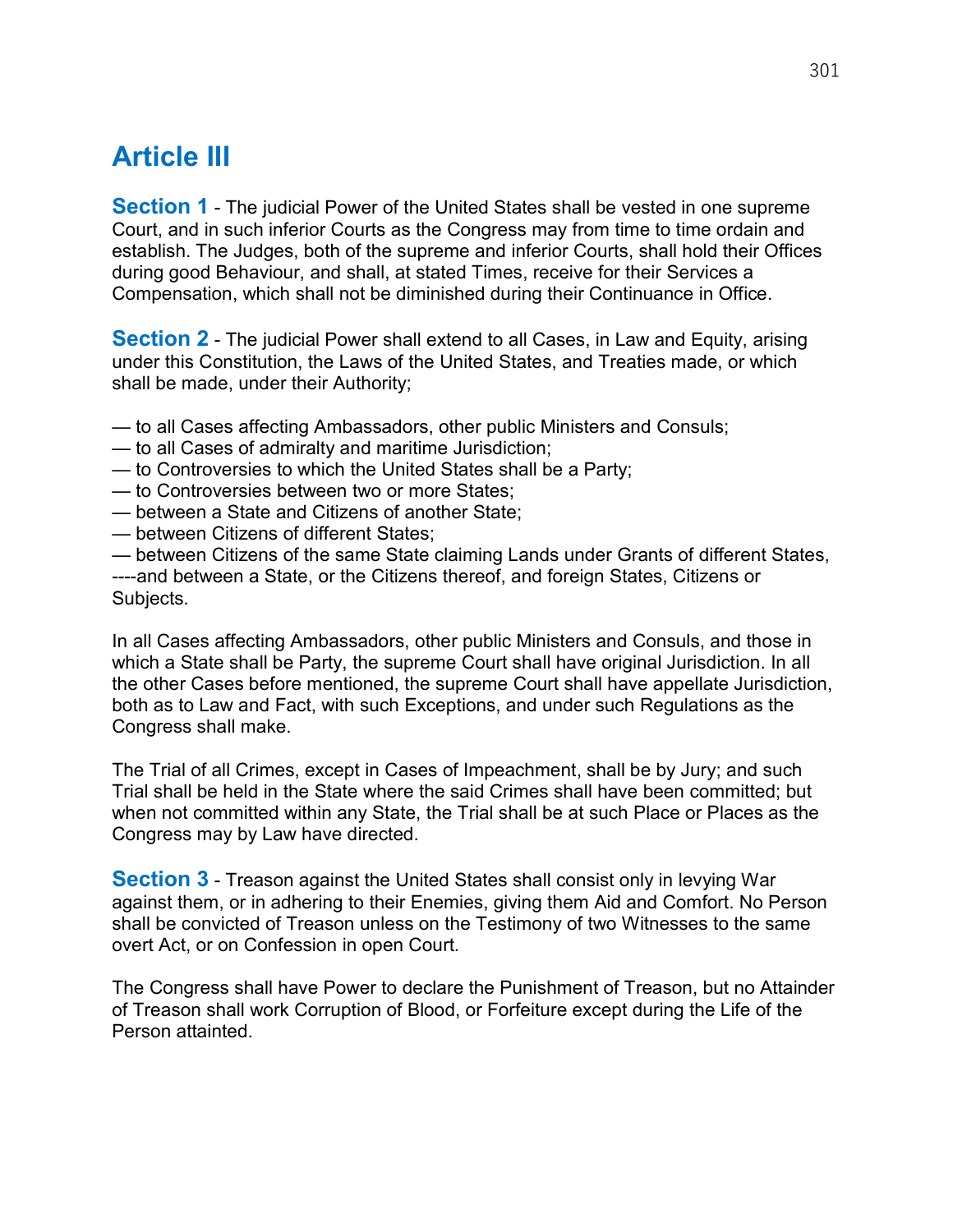# Article III

**Section 1** - The judicial Power of the United States shall be vested in one supreme Court, and in such inferior Courts as the Congress may from time to time ordain and establish. The Judges, both of the supreme and inferior Courts, shall hold their Offices during good Behaviour, and shall, at stated Times, receive for their Services a Compensation, which shall not be diminished during their Continuance in Office.

**Section 2** - The judicial Power shall extend to all Cases, in Law and Equity, arising under this Constitution, the Laws of the United States, and Treaties made, or which shall be made, under their Authority;

- to all Cases affecting Ambassadors, other public Ministers and Consuls;
- to all Cases of admiralty and maritime Jurisdiction;
- to Controversies to which the United States shall be a Party;
- to Controversies between two or more States;
- between a State and Citizens of another State;
- between Citizens of different States;

— between Citizens of the same State claiming Lands under Grants of different States, ----and between a State, or the Citizens thereof, and foreign States, Citizens or Subjects.

In all Cases affecting Ambassadors, other public Ministers and Consuls, and those in which a State shall be Party, the supreme Court shall have original Jurisdiction. In all the other Cases before mentioned, the supreme Court shall have appellate Jurisdiction, both as to Law and Fact, with such Exceptions, and under such Regulations as the Congress shall make.

The Trial of all Crimes, except in Cases of Impeachment, shall be by Jury; and such Trial shall be held in the State where the said Crimes shall have been committed; but when not committed within any State, the Trial shall be at such Place or Places as the Congress may by Law have directed.

**Section 3** - Treason against the United States shall consist only in levying War against them, or in adhering to their Enemies, giving them Aid and Comfort. No Person shall be convicted of Treason unless on the Testimony of two Witnesses to the same overt Act, or on Confession in open Court.

The Congress shall have Power to declare the Punishment of Treason, but no Attainder of Treason shall work Corruption of Blood, or Forfeiture except during the Life of the Person attainted.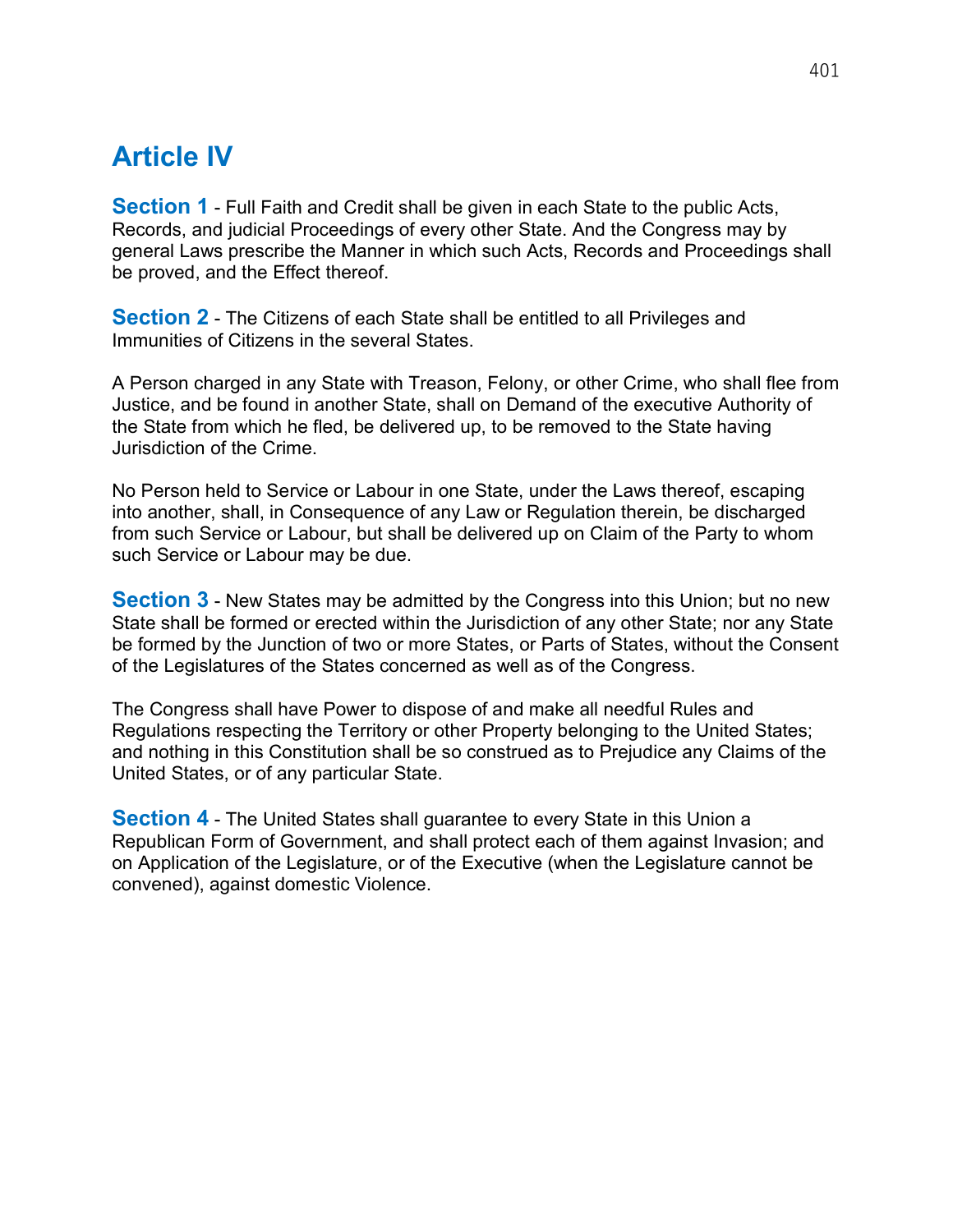## Article IV

**Section 1** - Full Faith and Credit shall be given in each State to the public Acts, Records, and judicial Proceedings of every other State. And the Congress may by general Laws prescribe the Manner in which such Acts, Records and Proceedings shall be proved, and the Effect thereof.

**Section 2** - The Citizens of each State shall be entitled to all Privileges and Immunities of Citizens in the several States.

A Person charged in any State with Treason, Felony, or other Crime, who shall flee from Justice, and be found in another State, shall on Demand of the executive Authority of the State from which he fled, be delivered up, to be removed to the State having Jurisdiction of the Crime.

No Person held to Service or Labour in one State, under the Laws thereof, escaping into another, shall, in Consequence of any Law or Regulation therein, be discharged from such Service or Labour, but shall be delivered up on Claim of the Party to whom such Service or Labour may be due.

**Section 3** - New States may be admitted by the Congress into this Union; but no new State shall be formed or erected within the Jurisdiction of any other State; nor any State be formed by the Junction of two or more States, or Parts of States, without the Consent of the Legislatures of the States concerned as well as of the Congress.

The Congress shall have Power to dispose of and make all needful Rules and Regulations respecting the Territory or other Property belonging to the United States; and nothing in this Constitution shall be so construed as to Prejudice any Claims of the United States, or of any particular State.

**Section 4** - The United States shall guarantee to every State in this Union a Republican Form of Government, and shall protect each of them against Invasion; and on Application of the Legislature, or of the Executive (when the Legislature cannot be convened), against domestic Violence.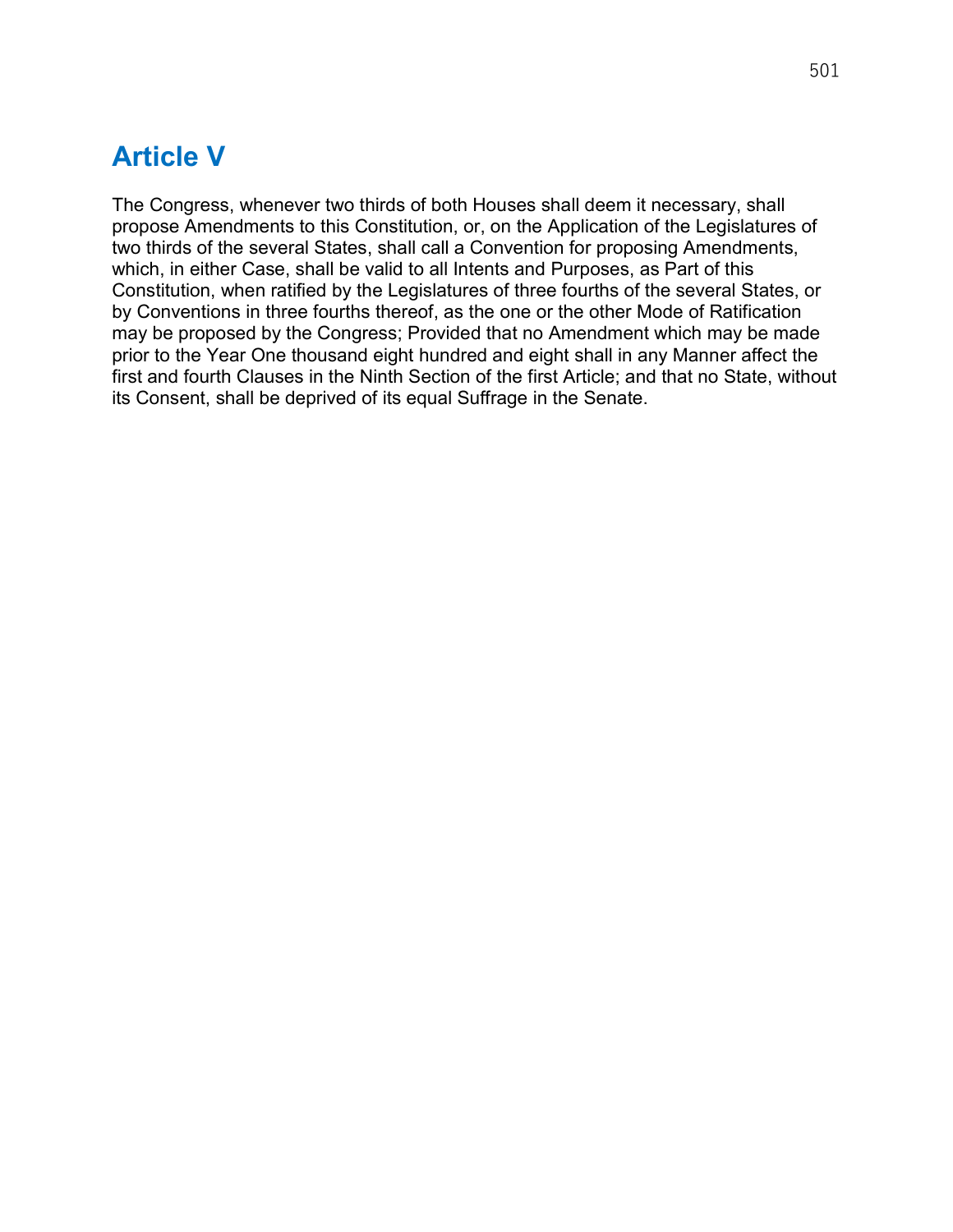#### Article V

The Congress, whenever two thirds of both Houses shall deem it necessary, shall propose Amendments to this Constitution, or, on the Application of the Legislatures of two thirds of the several States, shall call a Convention for proposing Amendments, which, in either Case, shall be valid to all Intents and Purposes, as Part of this Constitution, when ratified by the Legislatures of three fourths of the several States, or by Conventions in three fourths thereof, as the one or the other Mode of Ratification may be proposed by the Congress; Provided that no Amendment which may be made prior to the Year One thousand eight hundred and eight shall in any Manner affect the first and fourth Clauses in the Ninth Section of the first Article; and that no State, without its Consent, shall be deprived of its equal Suffrage in the Senate.